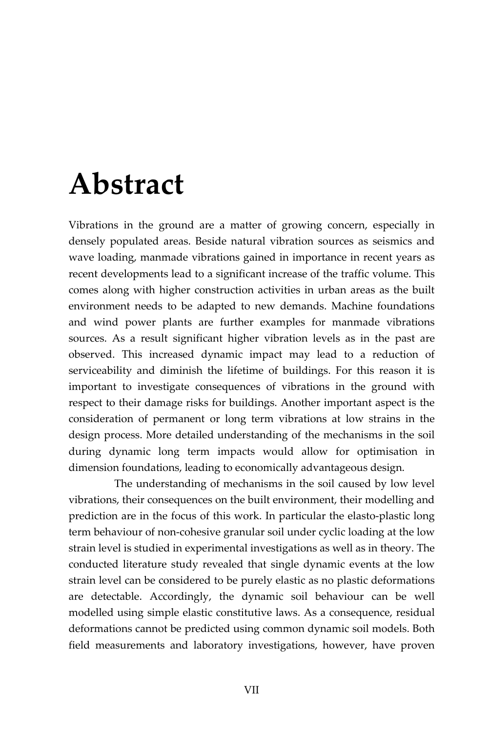## **Abstract**

Vibrations in the ground are a matter of growing concern, especially in densely populated areas. Beside natural vibration sources as seismics and wave loading, manmade vibrations gained in importance in recent years as recent developments lead to a significant increase of the traffic volume. This comes along with higher construction activities in urban areas as the built environment needs to be adapted to new demands. Machine foundations and wind power plants are further examples for manmade vibrations sources. As a result significant higher vibration levels as in the past are observed. This increased dynamic impact may lead to a reduction of serviceability and diminish the lifetime of buildings. For this reason it is important to investigate consequences of vibrations in the ground with respect to their damage risks for buildings. Another important aspect is the consideration of permanent or long term vibrations at low strains in the design process. More detailed understanding of the mechanisms in the soil during dynamic long term impacts would allow for optimisation in dimension foundations, leading to economically advantageous design.

The understanding of mechanisms in the soil caused by low level vibrations, their consequences on the built environment, their modelling and prediction are in the focus of this work. In particular the elasto-plastic long term behaviour of non-cohesive granular soil under cyclic loading at the low strain level is studied in experimental investigations as well as in theory. The conducted literature study revealed that single dynamic events at the low strain level can be considered to be purely elastic as no plastic deformations are detectable. Accordingly, the dynamic soil behaviour can be well modelled using simple elastic constitutive laws. As a consequence, residual deformations cannot be predicted using common dynamic soil models. Both field measurements and laboratory investigations, however, have proven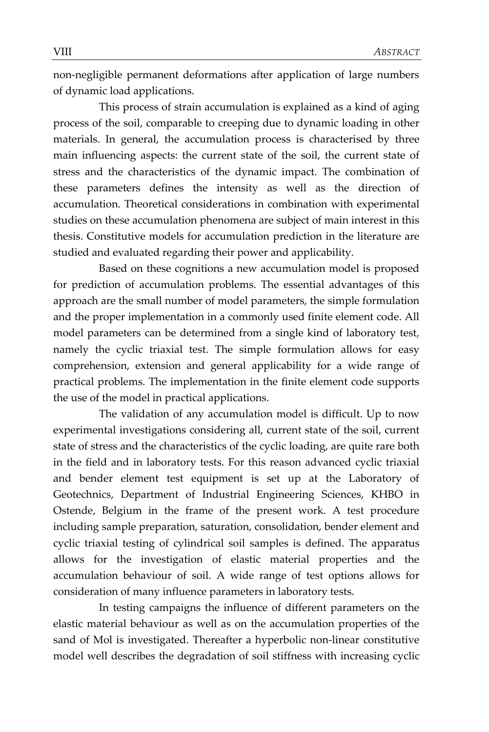non-negligible permanent deformations after application of large numbers of dynamic load applications.

This process of strain accumulation is explained as a kind of aging process of the soil, comparable to creeping due to dynamic loading in other materials. In general, the accumulation process is characterised by three main influencing aspects: the current state of the soil, the current state of stress and the characteristics of the dynamic impact. The combination of these parameters defines the intensity as well as the direction of accumulation. Theoretical considerations in combination with experimental studies on these accumulation phenomena are subject of main interest in this thesis. Constitutive models for accumulation prediction in the literature are studied and evaluated regarding their power and applicability.

Based on these cognitions a new accumulation model is proposed for prediction of accumulation problems. The essential advantages of this approach are the small number of model parameters, the simple formulation and the proper implementation in a commonly used finite element code. All model parameters can be determined from a single kind of laboratory test, namely the cyclic triaxial test. The simple formulation allows for easy comprehension, extension and general applicability for a wide range of practical problems. The implementation in the finite element code supports the use of the model in practical applications.

The validation of any accumulation model is difficult. Up to now experimental investigations considering all, current state of the soil, current state of stress and the characteristics of the cyclic loading, are quite rare both in the field and in laboratory tests. For this reason advanced cyclic triaxial and bender element test equipment is set up at the Laboratory of Geotechnics, Department of Industrial Engineering Sciences, KHBO in Ostende, Belgium in the frame of the present work. A test procedure including sample preparation, saturation, consolidation, bender element and cyclic triaxial testing of cylindrical soil samples is defined. The apparatus allows for the investigation of elastic material properties and the accumulation behaviour of soil. A wide range of test options allows for consideration of many influence parameters in laboratory tests.

In testing campaigns the influence of different parameters on the elastic material behaviour as well as on the accumulation properties of the sand of Mol is investigated. Thereafter a hyperbolic non-linear constitutive model well describes the degradation of soil stiffness with increasing cyclic